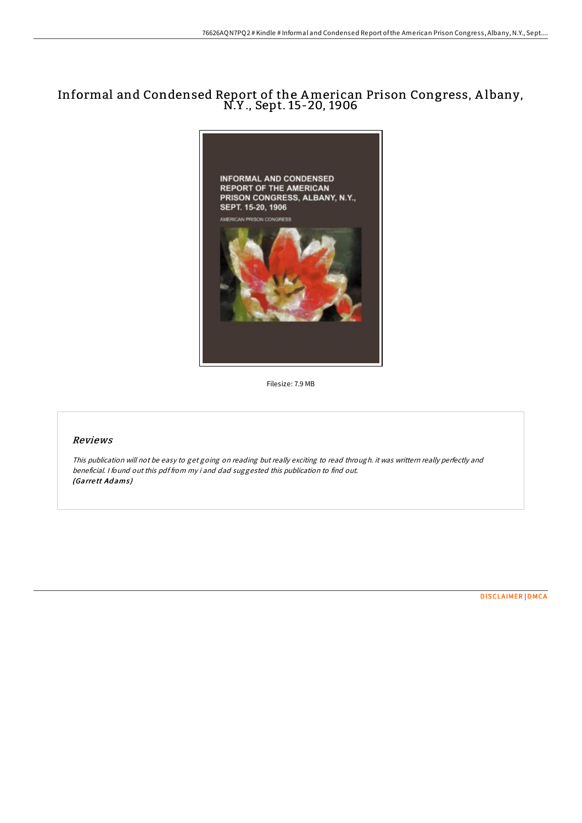## Informal and Condensed Report of the American Prison Congress, <sup>A</sup> lbany, N.Y ., Sept. 15-20, <sup>1906</sup>



Filesize: 7.9 MB

## Reviews

This publication will not be easy to get going on reading but really exciting to read through. it was writtern really perfectly and beneficial. <sup>I</sup> found out this pdf from my i and dad suggested this publication to find out. (Garrett Adams)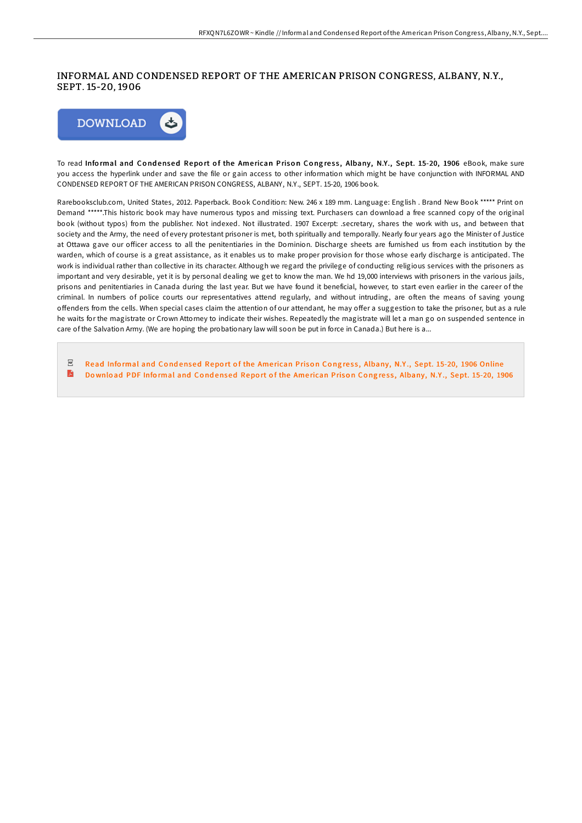## INFORMAL AND CONDENSED REPORT OF THE AMERICAN PRISON CONGRESS, ALBANY, N.Y., SEPT. 15-20, 1906



To read Informal and Condensed Report of the American Prison Congress, Albany, N.Y., Sept. 15-20, 1906 eBook, make sure you access the hyperlink under and save the file or gain access to other information which might be have conjunction with INFORMAL AND CONDENSED REPORT OF THE AMERICAN PRISON CONGRESS, ALBANY, N.Y., SEPT. 15-20, 1906 book.

Rarebooksclub.com, United States, 2012. Paperback. Book Condition: New. 246 x 189 mm. Language: English . Brand New Book \*\*\*\*\* Print on Demand \*\*\*\*\*.This historic book may have numerous typos and missing text. Purchasers can download a free scanned copy of the original book (without typos) from the publisher. Not indexed. Not illustrated. 1907 Excerpt: .secretary, shares the work with us, and between that society and the Army, the need of every protestant prisoner is met, both spiritually and temporally. Nearly four years ago the Minister of Justice at Ottawa gave our officer access to all the penitentiaries in the Dominion. Discharge sheets are furnished us from each institution by the warden, which of course is a great assistance, as it enables us to make proper provision for those whose early discharge is anticipated. The work is individual rather than collective in its character. Although we regard the privilege of conducting religious services with the prisoners as important and very desirable, yet it is by personal dealing we get to know the man. We hd 19,000 interviews with prisoners in the various jails, prisons and penitentiaries in Canada during the last year. But we have found it beneficial, however, to start even earlier in the career of the criminal. In numbers of police courts our representatives attend regularly, and without intruding, are often the means of saving young offenders from the cells. When special cases claim the attention of our attendant, he may offer a suggestion to take the prisoner, but as a rule he waits for the magistrate or Crown Attorney to indicate their wishes. Repeatedly the magistrate will let a man go on suspended sentence in care of the Salvation Army. (We are hoping the probationary law will soon be put in force in Canada.) But here is a...

 $_{\rm PDF}$ Read Informal and Condensed Report of the American Prison Congress, [Albany,](http://almighty24.tech/informal-and-condensed-report-of-the-american-pr.html) N.Y., Sept. 15-20, 1906 Online A Download PDF Informal and Condensed Report of the American Prison Congress, [Albany,](http://almighty24.tech/informal-and-condensed-report-of-the-american-pr.html) N.Y., Sept. 15-20, 1906